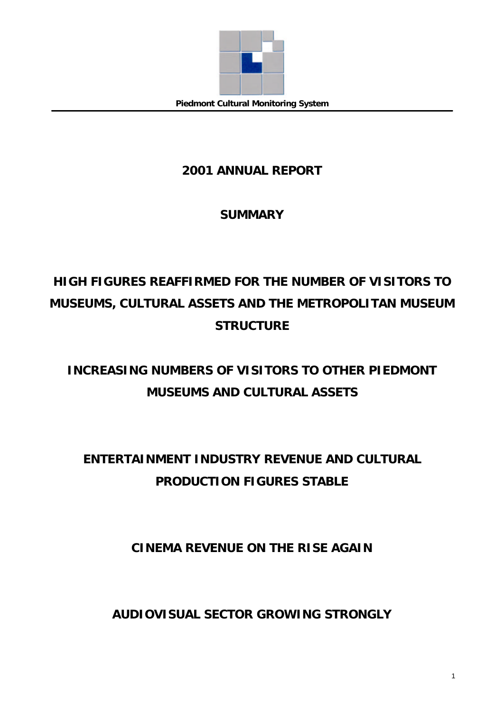

## **2001 ANNUAL REPORT**

## **SUMMARY**

# **HIGH FIGURES REAFFIRMED FOR THE NUMBER OF VISITORS TO MUSEUMS, CULTURAL ASSETS AND THE METROPOLITAN MUSEUM STRUCTURE**

# **INCREASING NUMBERS OF VISITORS TO OTHER PIEDMONT MUSEUMS AND CULTURAL ASSETS**

# **ENTERTAINMENT INDUSTRY REVENUE AND CULTURAL PRODUCTION FIGURES STABLE**

## **CINEMA REVENUE ON THE RISE AGAIN**

**AUDIOVISUAL SECTOR GROWING STRONGLY**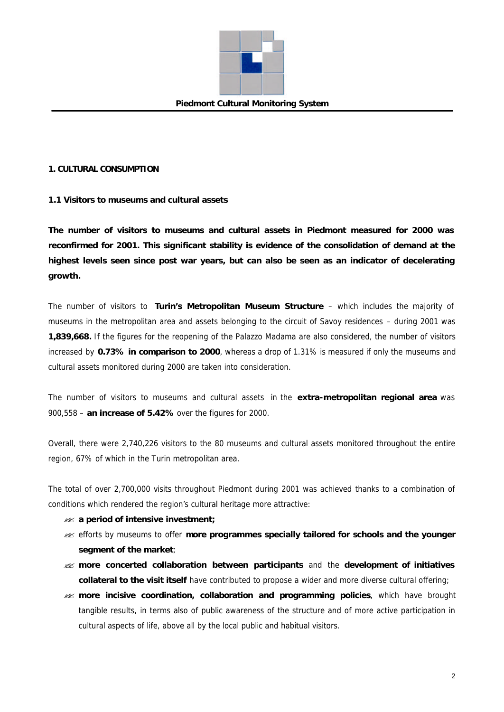

## **1. CULTURAL CONSUMPTION**

## **1.1 Visitors to museums and cultural assets**

**The number of visitors to museums and cultural assets in Piedmont measured for 2000 was reconfirmed for 2001. This significant stability is evidence of the consolidation of demand at the highest levels seen since post war years, but can also be seen as an indicator of decelerating growth.**

The number of visitors to **Turin's Metropolitan Museum Structure** – which includes the majority of museums in the metropolitan area and assets belonging to the circuit of Savoy residences – during 2001 was **1,839,668.** If the figures for the reopening of the Palazzo Madama are also considered, the number of visitors increased by **0.73% in comparison to 2000**, whereas a drop of 1.31% is measured if only the museums and cultural assets monitored during 2000 are taken into consideration.

The number of visitors to museums and cultural assets in the **extra-metropolitan regional area** was 900,558 – **an increase of 5.42%** over the figures for 2000.

Overall, there were 2,740,226 visitors to the 80 museums and cultural assets monitored throughout the entire region, 67% of which in the Turin metropolitan area.

The total of over 2,700,000 visits throughout Piedmont during 2001 was achieved thanks to a combination of conditions which rendered the region's cultural heritage more attractive:

- ?? **a period of intensive investment;**
- **ex** efforts by museums to offer more programmes specially tailored for schools and the younger **segment of the market**;
- ?? **more concerted collaboration between participants** and the **development of initiatives collateral to the visit itself** have contributed to propose a wider and more diverse cultural offering;
- ?? **more incisive coordination, collaboration and programming policies**, which have brought tangible results, in terms also of public awareness of the structure and of more active participation in cultural aspects of life, above all by the local public and habitual visitors.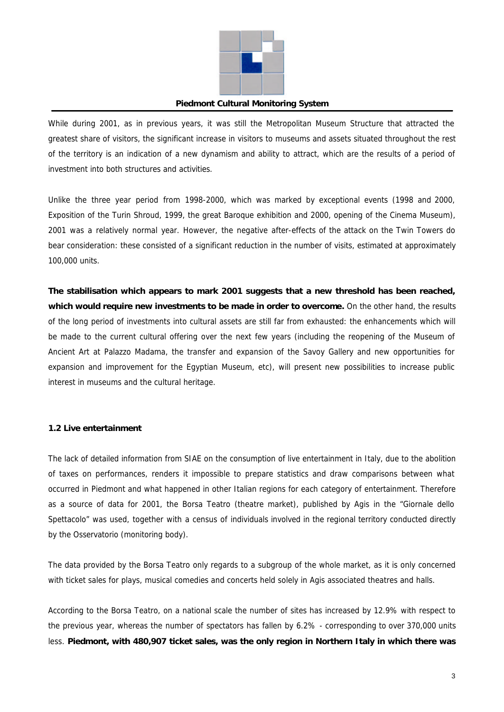

While during 2001, as in previous years, it was still the Metropolitan Museum Structure that attracted the greatest share of visitors, the significant increase in visitors to museums and assets situated throughout the rest of the territory is an indication of a new dynamism and ability to attract, which are the results of a period of investment into both structures and activities.

Unlike the three year period from 1998-2000, which was marked by exceptional events (1998 and 2000, Exposition of the Turin Shroud, 1999, the great Baroque exhibition and 2000, opening of the Cinema Museum), 2001 was a relatively normal year. However, the negative after-effects of the attack on the Twin Towers do bear consideration: these consisted of a significant reduction in the number of visits, estimated at approximately 100,000 units.

**The stabilisation which appears to mark 2001 suggests that a new threshold has been reached, which would require new investments to be made in order to overcome.** On the other hand, the results of the long period of investments into cultural assets are still far from exhausted: the enhancements which will be made to the current cultural offering over the next few years (including the reopening of the Museum of Ancient Art at Palazzo Madama, the transfer and expansion of the Savoy Gallery and new opportunities for expansion and improvement for the Egyptian Museum, etc), will present new possibilities to increase public interest in museums and the cultural heritage.

## **1.2 Live entertainment**

The lack of detailed information from SIAE on the consumption of live entertainment in Italy, due to the abolition of taxes on performances, renders it impossible to prepare statistics and draw comparisons between what occurred in Piedmont and what happened in other Italian regions for each category of entertainment. Therefore as a source of data for 2001, the Borsa Teatro (theatre market), published by Agis in the "Giornale dello Spettacolo" was used, together with a census of individuals involved in the regional territory conducted directly by the Osservatorio (monitoring body).

The data provided by the Borsa Teatro only regards to a subgroup of the whole market, as it is only concerned with ticket sales for plays, musical comedies and concerts held solely in Agis associated theatres and halls.

According to the Borsa Teatro, on a national scale the number of sites has increased by 12.9% with respect to the previous year, whereas the number of spectators has fallen by 6.2% - corresponding to over 370,000 units less. **Piedmont, with 480,907 ticket sales, was the only region in Northern Italy in which there was**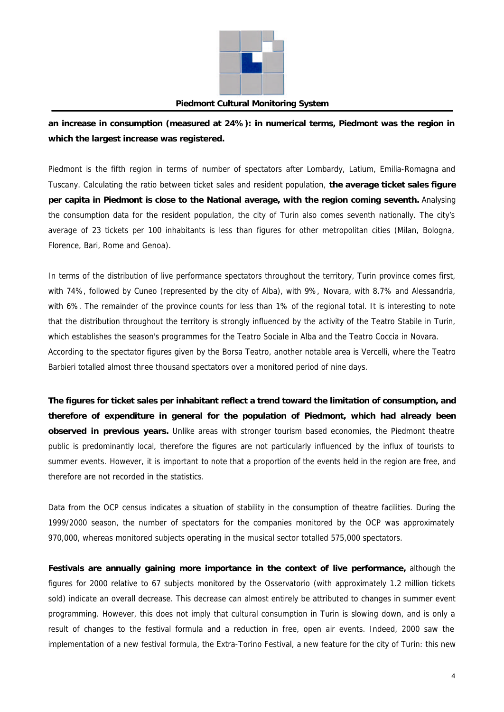

**an increase in consumption (measured at 24%): in numerical terms, Piedmont was the region in which the largest increase was registered.**

Piedmont is the fifth region in terms of number of spectators after Lombardy, Latium, Emilia-Romagna and Tuscany. Calculating the ratio between ticket sales and resident population, **the average ticket sales figure per capita in Piedmont is close to the National average, with the region coming seventh.** Analysing the consumption data for the resident population, the city of Turin also comes seventh nationally. The city's average of 23 tickets per 100 inhabitants is less than figures for other metropolitan cities (Milan, Bologna, Florence, Bari, Rome and Genoa).

In terms of the distribution of live performance spectators throughout the territory, Turin province comes first, with 74%, followed by Cuneo (represented by the city of Alba), with 9%, Novara, with 8.7% and Alessandria, with 6%. The remainder of the province counts for less than 1% of the regional total. It is interesting to note that the distribution throughout the territory is strongly influenced by the activity of the Teatro Stabile in Turin, which establishes the season's programmes for the Teatro Sociale in Alba and the Teatro Coccia in Novara. According to the spectator figures given by the Borsa Teatro, another notable area is Vercelli, where the Teatro Barbieri totalled almost three thousand spectators over a monitored period of nine days.

**The figures for ticket sales per inhabitant reflect a trend toward the limitation of consumption, and therefore of expenditure in general for the population of Piedmont, which had already been observed in previous years.** Unlike areas with stronger tourism based economies, the Piedmont theatre public is predominantly local, therefore the figures are not particularly influenced by the influx of tourists to summer events. However, it is important to note that a proportion of the events held in the region are free, and therefore are not recorded in the statistics.

Data from the OCP census indicates a situation of stability in the consumption of theatre facilities. During the 1999/2000 season, the number of spectators for the companies monitored by the OCP was approximately 970,000, whereas monitored subjects operating in the musical sector totalled 575,000 spectators.

**Festivals are annually gaining more importance in the context of live performance,** although the figures for 2000 relative to 67 subjects monitored by the Osservatorio (with approximately 1.2 million tickets sold) indicate an overall decrease. This decrease can almost entirely be attributed to changes in summer event programming. However, this does not imply that cultural consumption in Turin is slowing down, and is only a result of changes to the festival formula and a reduction in free, open air events. Indeed, 2000 saw the implementation of a new festival formula, the Extra-Torino Festival, a new feature for the city of Turin: this new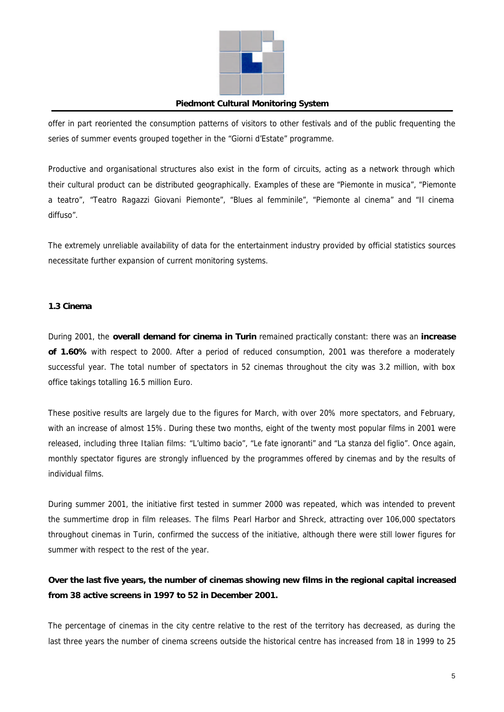

offer in part reoriented the consumption patterns of visitors to other festivals and of the public frequenting the series of summer events grouped together in the "Giorni d'Estate" programme.

Productive and organisational structures also exist in the form of circuits, acting as a network through which their cultural product can be distributed geographically. Examples of these are "Piemonte in musica", "Piemonte a teatro", "Teatro Ragazzi Giovani Piemonte", "Blues al femminile", "Piemonte al cinema" and "Il cinema diffuso".

The extremely unreliable availability of data for the entertainment industry provided by official statistics sources necessitate further expansion of current monitoring systems.

## **1.3 Cinema**

During 2001, the **overall demand for cinema in Turin** remained practically constant: there was an **increase of 1.60%** with respect to 2000. After a period of reduced consumption, 2001 was therefore a moderately successful year. The total number of spectators in 52 cinemas throughout the city was 3.2 million, with box office takings totalling 16.5 million Euro.

These positive results are largely due to the figures for March, with over 20% more spectators, and February, with an increase of almost 15%. During these two months, eight of the twenty most popular films in 2001 were released, including three Italian films: *"L'ultimo bacio"*, "*Le fate ignoranti"* and *"La stanza del figlio"*. Once again, monthly spectator figures are strongly influenced by the programmes offered by cinemas and by the results of individual films.

During summer 2001, the initiative first tested in summer 2000 was repeated, which was intended to prevent the summertime drop in film releases. The films *Pearl Harbor* and *Shreck*, attracting over 106,000 spectators throughout cinemas in Turin, confirmed the success of the initiative, although there were still lower figures for summer with respect to the rest of the year.

## **Over the last five years, the number of cinemas showing new films in the regional capital increased from 38 active screens in 1997 to 52 in December 2001.**

The percentage of cinemas in the city centre relative to the rest of the territory has decreased, as during the last three years the number of cinema screens outside the historical centre has increased from 18 in 1999 to 25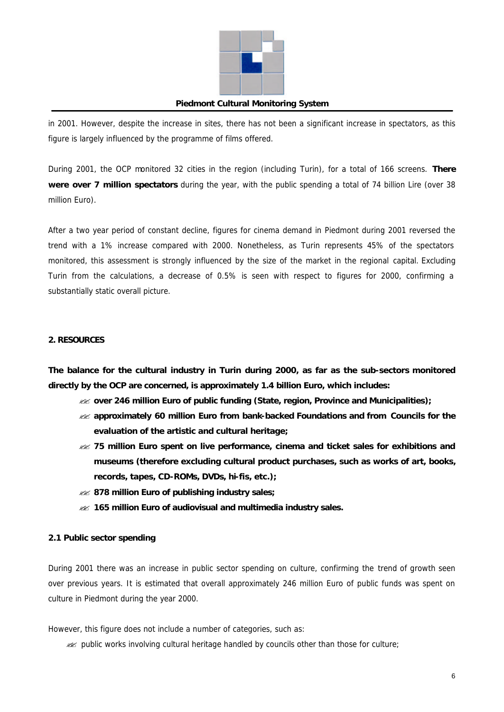

in 2001. However, despite the increase in sites, there has not been a significant increase in spectators, as this figure is largely influenced by the programme of films offered.

During 2001, the OCP monitored 32 cities in the region (including Turin), for a total of 166 screens. **There were over 7 million spectators** during the year, with the public spending a total of 74 billion Lire (over 38 million Euro).

After a two year period of constant decline, figures for cinema demand in Piedmont during 2001 reversed the trend with a 1% increase compared with 2000. Nonetheless, as Turin represents 45% of the spectators monitored, this assessment is strongly influenced by the size of the market in the regional capital. Excluding Turin from the calculations, a decrease of 0.5% is seen with respect to figures for 2000, confirming a substantially static overall picture.

## **2. RESOURCES**

**The balance for the cultural industry in Turin during 2000, as far as the sub-sectors monitored directly by the OCP are concerned, is approximately 1.4 billion Euro, which includes:**

- ?? **over 246 million Euro of public funding (State, region, Province and Municipalities);**
- ?? **approximately 60 million Euro from bank-backed Foundations and from Councils for the evaluation of the artistic and cultural heritage;**
- ?? **75 million Euro spent on live performance, cinema and ticket sales for exhibitions and museums (therefore excluding cultural product purchases, such as works of art, books, records, tapes, CD-ROMs, DVDs, hi-fis, etc.);**
- ?? **878 million Euro of publishing industry sales;**
- ?? **165 million Euro of audiovisual and multimedia industry sales.**

## **2.1 Public sector spending**

During 2001 there was an increase in public sector spending on culture, confirming the trend of growth seen over previous years. It is estimated that overall approximately 246 million Euro of public funds was spent on culture in Piedmont during the year 2000.

However, this figure does not include a number of categories, such as:

 $\approx$  public works involving cultural heritage handled by councils other than those for culture;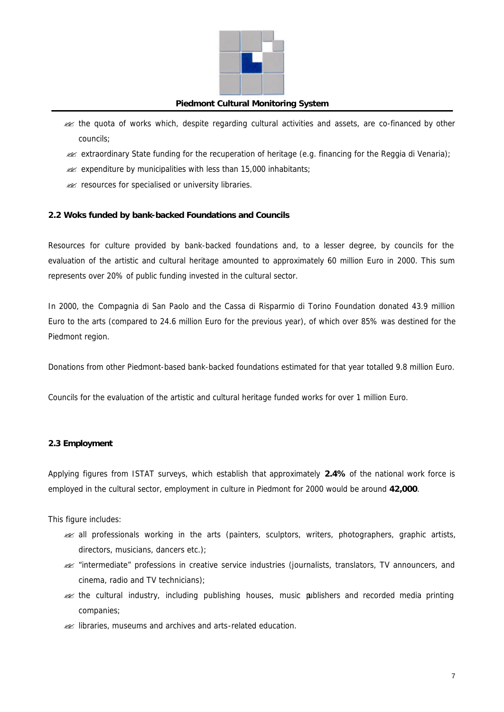

- ?? the quota of works which, despite regarding cultural activities and assets, are co-financed by other councils;
- $\gg$  extraordinary State funding for the recuperation of heritage (e.g. financing for the Reggia di Venaria);
- $\mathscr{A}$  expenditure by municipalities with less than 15,000 inhabitants;
- **22** resources for specialised or university libraries.

## **2.2 Woks funded by bank-backed Foundations and Councils**

Resources for culture provided by bank-backed foundations and, to a lesser degree, by councils for the evaluation of the artistic and cultural heritage amounted to approximately 60 million Euro in 2000. This sum represents over 20% of public funding invested in the cultural sector.

In 2000, the Compagnia di San Paolo and the Cassa di Risparmio di Torino Foundation donated 43.9 million Euro to the arts (compared to 24.6 million Euro for the previous year), of which over 85% was destined for the Piedmont region.

Donations from other Piedmont-based bank-backed foundations estimated for that year totalled 9.8 million Euro.

Councils for the evaluation of the artistic and cultural heritage funded works for over 1 million Euro.

## **2.3 Employment**

Applying figures from ISTAT surveys, which establish that approximately **2.4%** of the national work force is employed in the cultural sector, employment in culture in Piedmont for 2000 would be around **42,000**.

This figure includes:

- **Example 13** all professionals working in the arts (painters, sculptors, writers, photographers, graphic artists, directors, musicians, dancers etc.);
- ?? "intermediate" professions in creative service industries (journalists, translators, TV announcers, and cinema, radio and TV technicians);
- ?? the cultural industry, including publishing houses, music publishers and recorded media printing companies;
- **22** libraries, museums and archives and arts-related education.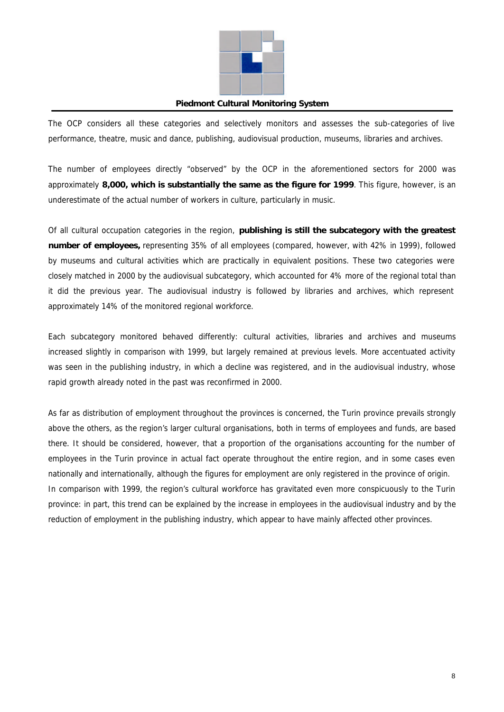

The OCP considers all these categories and selectively monitors and assesses the sub-categories of live performance, theatre, music and dance, publishing, audiovisual production, museums, libraries and archives.

The number of employees directly "observed" by the OCP in the aforementioned sectors for 2000 was approximately **8,000, which is substantially the same as the figure for 1999**. This figure, however, is an underestimate of the actual number of workers in culture, particularly in music.

Of all cultural occupation categories in the region, **publishing is still the subcategory with the greatest number of employees,** representing 35% of all employees (compared, however, with 42% in 1999), followed by museums and cultural activities which are practically in equivalent positions. These two categories were closely matched in 2000 by the audiovisual subcategory, which accounted for 4% more of the regional total than it did the previous year. The audiovisual industry is followed by libraries and archives, which represent approximately 14% of the monitored regional workforce.

Each subcategory monitored behaved differently: cultural activities, libraries and archives and museums increased slightly in comparison with 1999, but largely remained at previous levels. More accentuated activity was seen in the publishing industry, in which a decline was registered, and in the audiovisual industry, whose rapid growth already noted in the past was reconfirmed in 2000.

As far as distribution of employment throughout the provinces is concerned, the Turin province prevails strongly above the others, as the region's larger cultural organisations, both in terms of employees and funds, are based there. It should be considered, however, that a proportion of the organisations accounting for the number of employees in the Turin province in actual fact operate throughout the entire region, and in some cases even nationally and internationally, although the figures for employment are only registered in the province of origin. In comparison with 1999, the region's cultural workforce has gravitated even more conspicuously to the Turin province: in part, this trend can be explained by the increase in employees in the audiovisual industry and by the reduction of employment in the publishing industry, which appear to have mainly affected other provinces.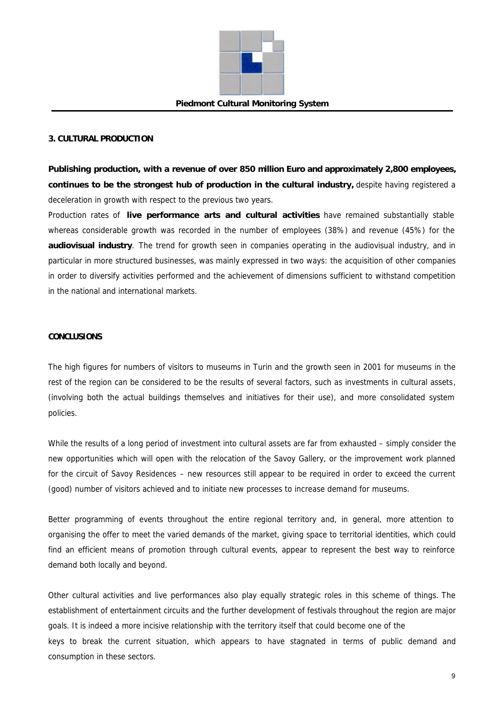

## **3. CULTURAL PRODUCTION**

**Publishing production, with a revenue of over 850 million Euro and approximately 2,800 employees, continues to be the strongest hub of production in the cultural industry,** despite having registered a deceleration in growth with respect to the previous two years.

Production rates of **live performance arts and cultural activities** have remained substantially stable whereas considerable growth was recorded in the number of employees (38%) and revenue (45%) for the **audiovisual industry**. The trend for growth seen in companies operating in the audiovisual industry, and in particular in more structured businesses, was mainly expressed in two ways: the acquisition of other companies in order to diversify activities performed and the achievement of dimensions sufficient to withstand competition in the national and international markets.

#### **CONCLUSIONS**

The high figures for numbers of visitors to museums in Turin and the growth seen in 2001 for museums in the rest of the region can be considered to be the results of several factors, such as investments in cultural assets, (involving both the actual buildings themselves and initiatives for their use), and more consolidated system policies.

While the results of a long period of investment into cultural assets are far from exhausted – simply consider the new opportunities which will open with the relocation of the Savoy Gallery, or the improvement work planned for the circuit of Savoy Residences – new resources still appear to be required in order to exceed the current (good) number of visitors achieved and to initiate new processes to increase demand for museums.

Better programming of events throughout the entire regional territory and, in general, more attention to organising the offer to meet the varied demands of the market, giving space to territorial identities, which could find an efficient means of promotion through cultural events, appear to represent the best way to reinforce demand both locally and beyond.

Other cultural activities and live performances also play equally strategic roles in this scheme of things. The establishment of entertainment circuits and the further development of festivals throughout the region are major goals. It is indeed a more incisive relationship with the territory itself that could become one of the keys to break the current situation, which appears to have stagnated in terms of public demand and consumption in these sectors.